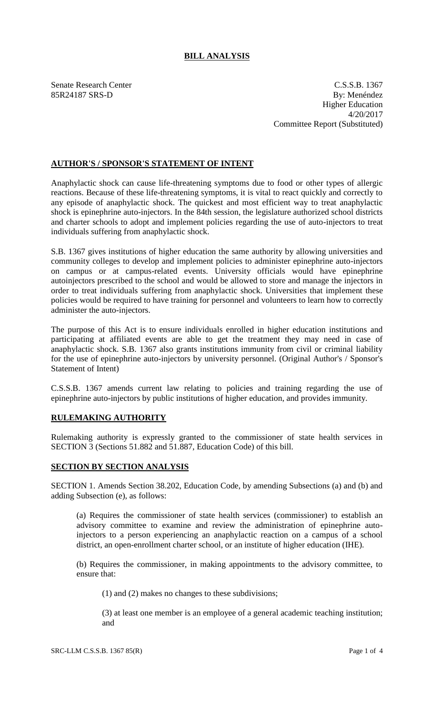# **BILL ANALYSIS**

Senate Research Center C.S.S.B. 1367 85R24187 SRS-D By: Menéndez Higher Education 4/20/2017 Committee Report (Substituted)

## **AUTHOR'S / SPONSOR'S STATEMENT OF INTENT**

Anaphylactic shock can cause life-threatening symptoms due to food or other types of allergic reactions. Because of these life-threatening symptoms, it is vital to react quickly and correctly to any episode of anaphylactic shock. The quickest and most efficient way to treat anaphylactic shock is epinephrine auto-injectors. In the 84th session, the legislature authorized school districts and charter schools to adopt and implement policies regarding the use of auto-injectors to treat individuals suffering from anaphylactic shock.

S.B. 1367 gives institutions of higher education the same authority by allowing universities and community colleges to develop and implement policies to administer epinephrine auto-injectors on campus or at campus-related events. University officials would have epinephrine autoinjectors prescribed to the school and would be allowed to store and manage the injectors in order to treat individuals suffering from anaphylactic shock. Universities that implement these policies would be required to have training for personnel and volunteers to learn how to correctly administer the auto-injectors.

The purpose of this Act is to ensure individuals enrolled in higher education institutions and participating at affiliated events are able to get the treatment they may need in case of anaphylactic shock. S.B. 1367 also grants institutions immunity from civil or criminal liability for the use of epinephrine auto-injectors by university personnel. (Original Author's / Sponsor's Statement of Intent)

C.S.S.B. 1367 amends current law relating to policies and training regarding the use of epinephrine auto-injectors by public institutions of higher education, and provides immunity.

## **RULEMAKING AUTHORITY**

Rulemaking authority is expressly granted to the commissioner of state health services in SECTION 3 (Sections 51.882 and 51.887, Education Code) of this bill.

#### **SECTION BY SECTION ANALYSIS**

SECTION 1. Amends Section 38.202, Education Code, by amending Subsections (a) and (b) and adding Subsection (e), as follows:

(a) Requires the commissioner of state health services (commissioner) to establish an advisory committee to examine and review the administration of epinephrine autoinjectors to a person experiencing an anaphylactic reaction on a campus of a school district, an open-enrollment charter school, or an institute of higher education (IHE).

(b) Requires the commissioner, in making appointments to the advisory committee, to ensure that:

(1) and (2) makes no changes to these subdivisions;

(3) at least one member is an employee of a general academic teaching institution; and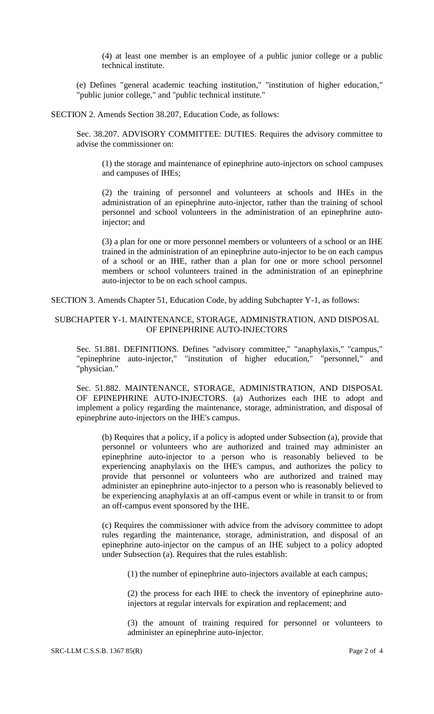(4) at least one member is an employee of a public junior college or a public technical institute.

(e) Defines "general academic teaching institution," "institution of higher education," "public junior college," and "public technical institute."

SECTION 2. Amends Section 38.207, Education Code, as follows:

Sec. 38.207. ADVISORY COMMITTEE: DUTIES. Requires the advisory committee to advise the commissioner on:

(1) the storage and maintenance of epinephrine auto-injectors on school campuses and campuses of IHEs;

(2) the training of personnel and volunteers at schools and IHEs in the administration of an epinephrine auto-injector, rather than the training of school personnel and school volunteers in the administration of an epinephrine autoinjector; and

(3) a plan for one or more personnel members or volunteers of a school or an IHE trained in the administration of an epinephrine auto-injector to be on each campus of a school or an IHE, rather than a plan for one or more school personnel members or school volunteers trained in the administration of an epinephrine auto-injector to be on each school campus.

SECTION 3. Amends Chapter 51, Education Code, by adding Subchapter Y-1, as follows:

### SUBCHAPTER Y-1. MAINTENANCE, STORAGE, ADMINISTRATION, AND DISPOSAL OF EPINEPHRINE AUTO-INJECTORS

Sec. 51.881. DEFINITIONS. Defines "advisory committee," "anaphylaxis," "campus," "epinephrine auto-injector," "institution of higher education," "personnel," and "physician."

Sec. 51.882. MAINTENANCE, STORAGE, ADMINISTRATION, AND DISPOSAL OF EPINEPHRINE AUTO-INJECTORS. (a) Authorizes each IHE to adopt and implement a policy regarding the maintenance, storage, administration, and disposal of epinephrine auto-injectors on the IHE's campus.

(b) Requires that a policy, if a policy is adopted under Subsection (a), provide that personnel or volunteers who are authorized and trained may administer an epinephrine auto-injector to a person who is reasonably believed to be experiencing anaphylaxis on the IHE's campus, and authorizes the policy to provide that personnel or volunteers who are authorized and trained may administer an epinephrine auto-injector to a person who is reasonably believed to be experiencing anaphylaxis at an off-campus event or while in transit to or from an off-campus event sponsored by the IHE.

(c) Requires the commissioner with advice from the advisory committee to adopt rules regarding the maintenance, storage, administration, and disposal of an epinephrine auto-injector on the campus of an IHE subject to a policy adopted under Subsection (a). Requires that the rules establish:

(1) the number of epinephrine auto-injectors available at each campus;

(2) the process for each IHE to check the inventory of epinephrine autoinjectors at regular intervals for expiration and replacement; and

(3) the amount of training required for personnel or volunteers to administer an epinephrine auto-injector.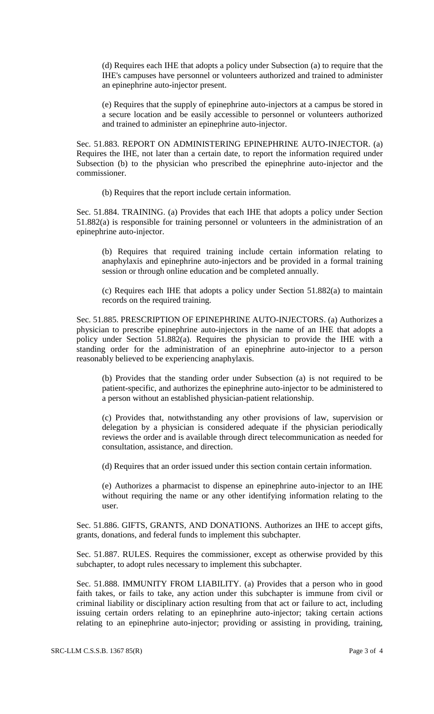(d) Requires each IHE that adopts a policy under Subsection (a) to require that the IHE's campuses have personnel or volunteers authorized and trained to administer an epinephrine auto-injector present.

(e) Requires that the supply of epinephrine auto-injectors at a campus be stored in a secure location and be easily accessible to personnel or volunteers authorized and trained to administer an epinephrine auto-injector.

Sec. 51.883. REPORT ON ADMINISTERING EPINEPHRINE AUTO-INJECTOR. (a) Requires the IHE, not later than a certain date, to report the information required under Subsection (b) to the physician who prescribed the epinephrine auto-injector and the commissioner.

(b) Requires that the report include certain information.

Sec. 51.884. TRAINING. (a) Provides that each IHE that adopts a policy under Section 51.882(a) is responsible for training personnel or volunteers in the administration of an epinephrine auto-injector.

(b) Requires that required training include certain information relating to anaphylaxis and epinephrine auto-injectors and be provided in a formal training session or through online education and be completed annually.

(c) Requires each IHE that adopts a policy under Section 51.882(a) to maintain records on the required training.

Sec. 51.885. PRESCRIPTION OF EPINEPHRINE AUTO-INJECTORS. (a) Authorizes a physician to prescribe epinephrine auto-injectors in the name of an IHE that adopts a policy under Section 51.882(a). Requires the physician to provide the IHE with a standing order for the administration of an epinephrine auto-injector to a person reasonably believed to be experiencing anaphylaxis.

(b) Provides that the standing order under Subsection (a) is not required to be patient-specific, and authorizes the epinephrine auto-injector to be administered to a person without an established physician-patient relationship.

(c) Provides that, notwithstanding any other provisions of law, supervision or delegation by a physician is considered adequate if the physician periodically reviews the order and is available through direct telecommunication as needed for consultation, assistance, and direction.

(d) Requires that an order issued under this section contain certain information.

(e) Authorizes a pharmacist to dispense an epinephrine auto-injector to an IHE without requiring the name or any other identifying information relating to the user.

Sec. 51.886. GIFTS, GRANTS, AND DONATIONS. Authorizes an IHE to accept gifts, grants, donations, and federal funds to implement this subchapter.

Sec. 51.887. RULES. Requires the commissioner, except as otherwise provided by this subchapter, to adopt rules necessary to implement this subchapter.

Sec. 51.888. IMMUNITY FROM LIABILITY. (a) Provides that a person who in good faith takes, or fails to take, any action under this subchapter is immune from civil or criminal liability or disciplinary action resulting from that act or failure to act, including issuing certain orders relating to an epinephrine auto-injector; taking certain actions relating to an epinephrine auto-injector; providing or assisting in providing, training,